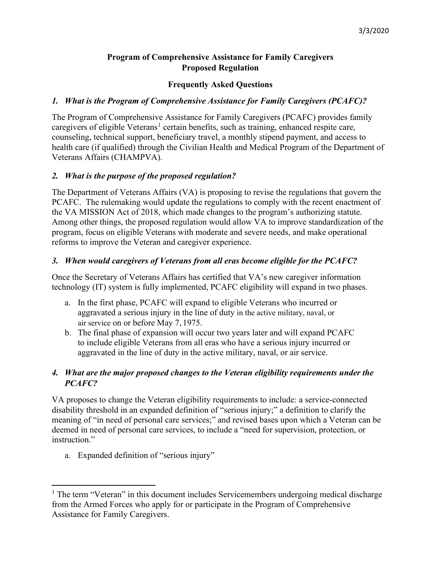## **Program of Comprehensive Assistance for Family Caregivers Proposed Regulation**

## **Frequently Asked Questions**

## *1. What is the Program of Comprehensive Assistance for Family Caregivers (PCAFC)?*

The Program of Comprehensive Assistance for Family Caregivers (PCAFC) provides family caregivers of eligible Veterans<sup>[1](#page-0-0)</sup> certain benefits, such as training, enhanced respite care, counseling, technical support, beneficiary travel, a monthly stipend payment, and access to health care (if qualified) through the Civilian Health and Medical Program of the Department of Veterans Affairs (CHAMPVA).

## *2. What is the purpose of the proposed regulation?*

The Department of Veterans Affairs (VA) is proposing to revise the regulations that govern the PCAFC. The rulemaking would update the regulations to comply with the recent enactment of the VA MISSION Act of 2018, which made changes to the program's authorizing statute. Among other things, the proposed regulation would allow VA to improve standardization of the program, focus on eligible Veterans with moderate and severe needs, and make operational reforms to improve the Veteran and caregiver experience.

## *3. When would caregivers of Veterans from all eras become eligible for the PCAFC?*

Once the Secretary of Veterans Affairs has certified that VA's new caregiver information technology (IT) system is fully implemented, PCAFC eligibility will expand in two phases.

- a. In the first phase, PCAFC will expand to eligible Veterans who incurred or aggravated a serious injury in the line of duty in the active military, naval, or air service on or before May 7, 1975.
- b. The final phase of expansion will occur two years later and will expand PCAFC to include eligible Veterans from all eras who have a serious injury incurred or aggravated in the line of duty in the active military, naval, or air service.

# *4. What are the major proposed changes to the Veteran eligibility requirements under the PCAFC?*

VA proposes to change the Veteran eligibility requirements to include: a service-connected disability threshold in an expanded definition of "serious injury;" a definition to clarify the meaning of "in need of personal care services;" and revised bases upon which a Veteran can be deemed in need of personal care services, to include a "need for supervision, protection, or instruction."

a. Expanded definition of "serious injury"

<span id="page-0-0"></span><sup>&</sup>lt;sup>1</sup> The term "Veteran" in this document includes Servicemembers undergoing medical discharge from the Armed Forces who apply for or participate in the Program of Comprehensive Assistance for Family Caregivers.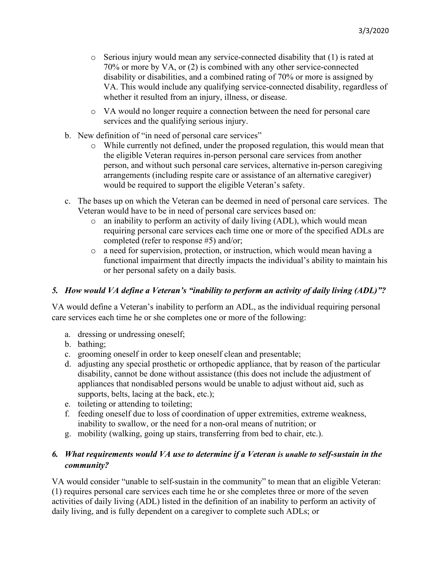- $\circ$  Serious injury would mean any service-connected disability that (1) is rated at 70% or more by VA, or (2) is combined with any other service-connected disability or disabilities, and a combined rating of 70% or more is assigned by VA. This would include any qualifying service-connected disability, regardless of whether it resulted from an injury, illness, or disease.
- o VA would no longer require a connection between the need for personal care services and the qualifying serious injury.
- b. New definition of "in need of personal care services"
	- o While currently not defined, under the proposed regulation, this would mean that the eligible Veteran requires in-person personal care services from another person, and without such personal care services, alternative in-person caregiving arrangements (including respite care or assistance of an alternative caregiver) would be required to support the eligible Veteran's safety.
- c. The bases up on which the Veteran can be deemed in need of personal care services. The Veteran would have to be in need of personal care services based on:
	- $\circ$  an inability to perform an activity of daily living (ADL), which would mean requiring personal care services each time one or more of the specified ADLs are completed (refer to response #5) and/or;
	- o a need for supervision, protection, or instruction, which would mean having a functional impairment that directly impacts the individual's ability to maintain his or her personal safety on a daily basis.

#### *5. How would VA define a Veteran's "inability to perform an activity of daily living (ADL)"?*

VA would define a Veteran's inability to perform an ADL, as the individual requiring personal care services each time he or she completes one or more of the following:

- a. dressing or undressing oneself;
- b. bathing;
- c. grooming oneself in order to keep oneself clean and presentable;
- d. adjusting any special prosthetic or orthopedic appliance, that by reason of the particular disability, cannot be done without assistance (this does not include the adjustment of appliances that nondisabled persons would be unable to adjust without aid, such as supports, belts, lacing at the back, etc.);
- e. toileting or attending to toileting;
- f. feeding oneself due to loss of coordination of upper extremities, extreme weakness, inability to swallow, or the need for a non-oral means of nutrition; or
- g. mobility (walking, going up stairs, transferring from bed to chair, etc.).

# *6. What requirements would VA use to determine if a Veteran is unable to self-sustain in the community?*

VA would consider "unable to self-sustain in the community" to mean that an eligible Veteran: (1) requires personal care services each time he or she completes three or more of the seven activities of daily living (ADL) listed in the definition of an inability to perform an activity of daily living, and is fully dependent on a caregiver to complete such ADLs; or